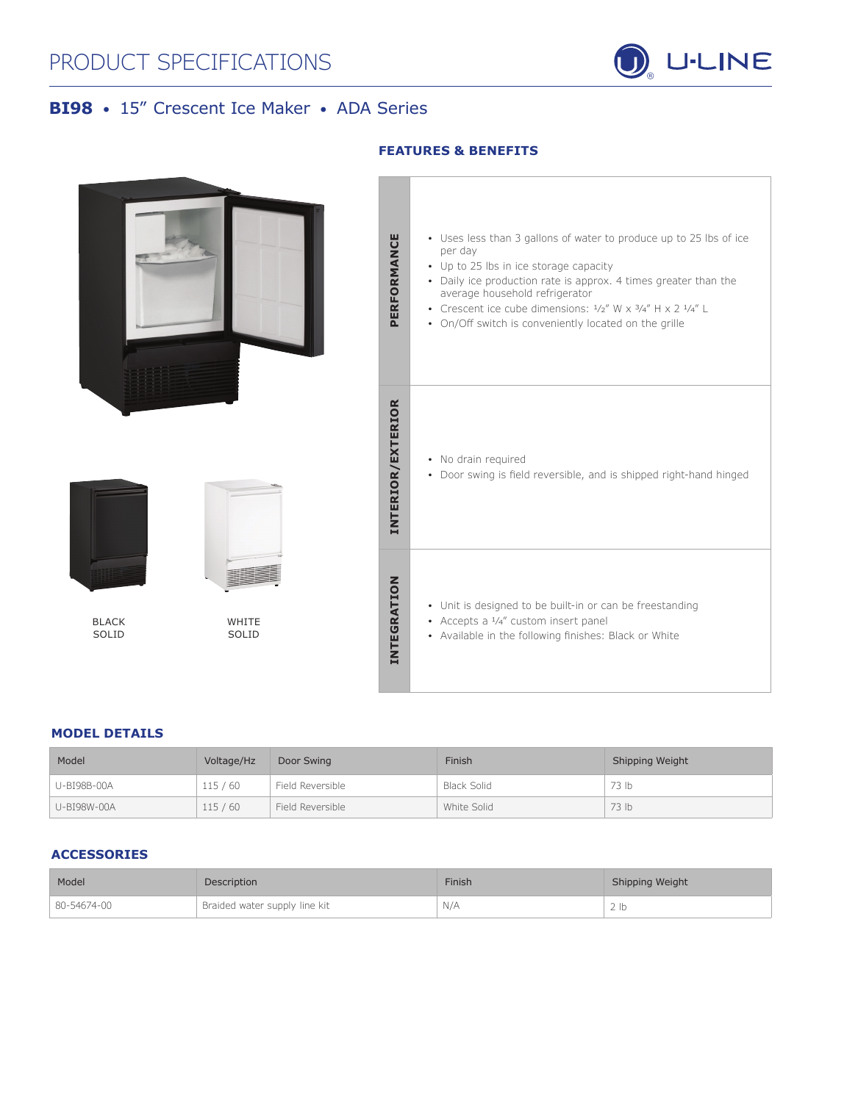

# **BI98** • 15" Crescent Ice Maker • ADA Series



## **MODEL DETAILS**

| Model       | Voltage/Hz | Door Swing       | Finish      | Shipping Weight |
|-------------|------------|------------------|-------------|-----------------|
| U-BI98B-00A | 115/60     | Field Reversible | Black Solid | 73 lb           |
| U-BI98W-00A | 115/60     | Field Reversible | White Solid | 73 lb           |

## **ACCESSORIES**

| Model       | <b>Description</b>            | Finish | Shipping Weight |
|-------------|-------------------------------|--------|-----------------|
| 80-54674-00 | Braided water supply line kit | N/A    |                 |

## **FEATURES & BENEFITS**